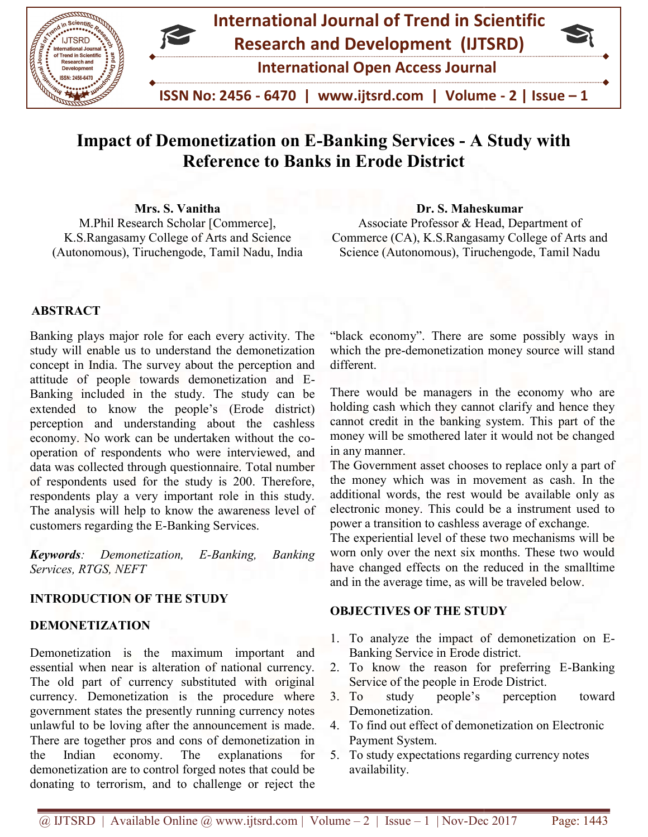

# Impact of Demonetization on E-Banking Services - A Study with Reference to Banks in Erode District

Mrs. S. Vanitha M.Phil Research Scholar [Commerce], K.S.Rangasamy College of Arts and Science (Autonomous), Tiruchengode, Tamil Nadu, India Mrs. S. Vanitha<br>
M.Phil Research Scholar [Commerce],<br>
K.S.Rangasamy College of Arts and Science<br>
utonomous), Tiruchengode, Tamil Nadu, India<br>
Science (Autonomous), Tiruchengode, Tamil Nadu, India<br>
Science (Autonomous), Tir

Associate Professor & Head, Department of Commerce (CA), K.S.Rangasamy College of Arts and Science (Autonomous), Tiruchengode, Tamil Nadu

### ABSTRACT

Banking plays major role for each every activity. The study will enable us to understand the demonetization concept in India. The survey about the perception and attitude of people towards demonetization and E-Banking included in the study. The study can be extended to know the people's (Erode district) extended to know the people's (Erode district) perception and understanding about the cashless economy. No work can be undertaken without the cooperation of respondents who were interviewed, and data was collected through questionnaire. Total number of respondents used for the study is 200. Therefore, respondents play a very important role in this study. respondents play a very important role in this study.<br>The analysis will help to know the awareness level of customers regarding the E-Banking Services. Banking Services. ere interviewed, and<br>nnnaire. Total number<br>y is 200. Therefore,

Keywords: Demonetization, E-Banking, Banking Services, RTGS, NEFT  $E$ -Banking,

### INTRODUCTION OF THE STUDY

#### DEMONETIZATION

Demonetization is the maximum important and essential when near is alteration of national currency. The old part of currency substituted with original currency. Demonetization is the procedure where government states the presently running currency notes unlawful to be loving after the announcement is made. government states the presently running currency notes<br>unlawful to be loving after the announcement is made.<br>There are together pros and cons of demonetization in the Indian economy. The explanations for the Indian economy. The explanations for demonetization are to control forged notes that could be donating to terrorism, and to challenge or reject the "black economy". There are some possibly ways in which the pre-demonetization money source will stand different.

There would be managers in the economy who are holding cash which they cannot clarify and hence they cannot credit in the banking system. This part of the money will be smothered later it would not be changed in any manner. Commerce (CA), K.S.Rangasamy College of Arts and<br>Science (Autonomous), Tiruchengode, Tamil Nadu<br>"black economy". There are some possibly ways in<br>which the pre-demonetization money source will stand<br>different.<br>There would b

The Government asset chooses to replace only a part of the money which was in movement as cash. In the additional words, the rest would be available only as electronic money. This could be a instrument used to power a transition to cashless average of exchange. money will be smothered later it would not be chang<br>in any manner.<br>The Government asset chooses to replace only a part<br>the money which was in movement as cash. In t<br>additional words, the rest would be available only<br>electr

The experiential level of these two mechanisms will be worn only over the next six months. These two would have changed effects on the reduced in the smalltime and in the average time, as will be traveled below.

#### **OBJECTIVES OF THE STUDY**

- 1. To analyze the impact of demonetization on E-Banking Service in Erode district. Banking Service in Erode district.<br>2. To know the reason for preferring E-Banking
- Service of the people in Erode District.
- 3. To study people's Demonetization. perception toward
- 4. To find out effect of demonetization on Electronic find out Payment System.
- 5. To study expectations regarding currency notes availability.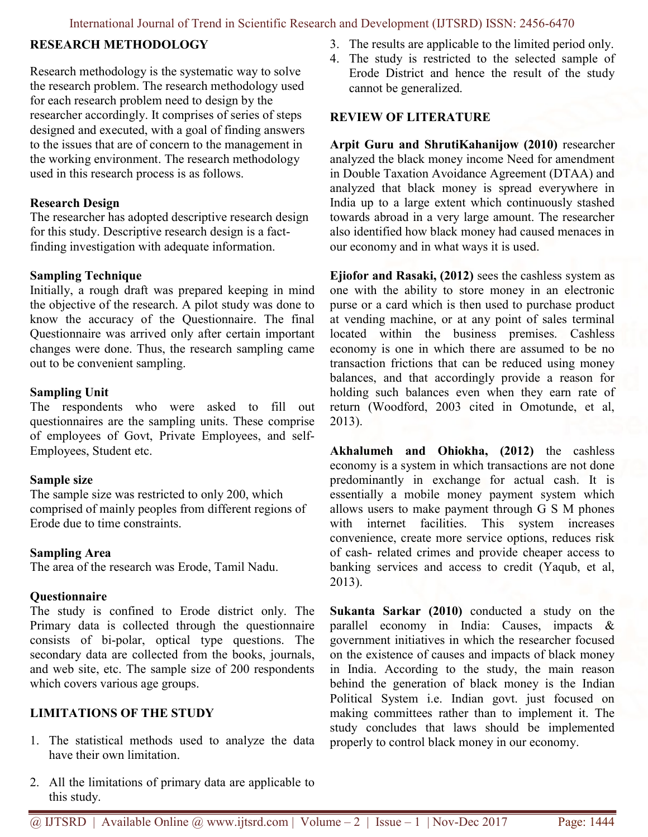### RESEARCH METHODOLOGY

Research methodology is the systematic way to solve the research problem. The research methodology used for each research problem need to design by the researcher accordingly. It comprises of series of steps designed and executed, with a goal of finding answers to the issues that are of concern to the management in the working environment. The research methodology used in this research process is as follows.

### Research Design

The researcher has adopted descriptive research design for this study. Descriptive research design is a factfinding investigation with adequate information.

### Sampling Technique

Initially, a rough draft was prepared keeping in mind the objective of the research. A pilot study was done to know the accuracy of the Questionnaire. The final Questionnaire was arrived only after certain important changes were done. Thus, the research sampling came out to be convenient sampling.

### Sampling Unit

The respondents who were asked to fill out questionnaires are the sampling units. These comprise of employees of Govt, Private Employees, and self-Employees, Student etc.

### Sample size

The sample size was restricted to only 200, which comprised of mainly peoples from different regions of Erode due to time constraints.

### Sampling Area

The area of the research was Erode, Tamil Nadu.

# **Ouestionnaire**

The study is confined to Erode district only. The Primary data is collected through the questionnaire consists of bi-polar, optical type questions. The secondary data are collected from the books, journals, and web site, etc. The sample size of 200 respondents which covers various age groups.

# LIMITATIONS OF THE STUDY

- 1. The statistical methods used to analyze the data have their own limitation.
- 2. All the limitations of primary data are applicable to this study.
- 3. The results are applicable to the limited period only.
- 4. The study is restricted to the selected sample of Erode District and hence the result of the study cannot be generalized.

# REVIEW OF LITERATURE

Arpit Guru and ShrutiKahanijow (2010) researcher analyzed the black money income Need for amendment in Double Taxation Avoidance Agreement (DTAA) and analyzed that black money is spread everywhere in India up to a large extent which continuously stashed towards abroad in a very large amount. The researcher also identified how black money had caused menaces in our economy and in what ways it is used.

Ejiofor and Rasaki, (2012) sees the cashless system as one with the ability to store money in an electronic purse or a card which is then used to purchase product at vending machine, or at any point of sales terminal located within the business premises. Cashless economy is one in which there are assumed to be no transaction frictions that can be reduced using money balances, and that accordingly provide a reason for holding such balances even when they earn rate of return (Woodford, 2003 cited in Omotunde, et al, 2013).

Akhalumeh and Ohiokha, (2012) the cashless economy is a system in which transactions are not done predominantly in exchange for actual cash. It is essentially a mobile money payment system which allows users to make payment through G S M phones with internet facilities. This system increases convenience, create more service options, reduces risk of cash- related crimes and provide cheaper access to banking services and access to credit (Yaqub, et al, 2013).

Sukanta Sarkar (2010) conducted a study on the parallel economy in India: Causes, impacts & government initiatives in which the researcher focused on the existence of causes and impacts of black money in India. According to the study, the main reason behind the generation of black money is the Indian Political System i.e. Indian govt. just focused on making committees rather than to implement it. The study concludes that laws should be implemented properly to control black money in our economy.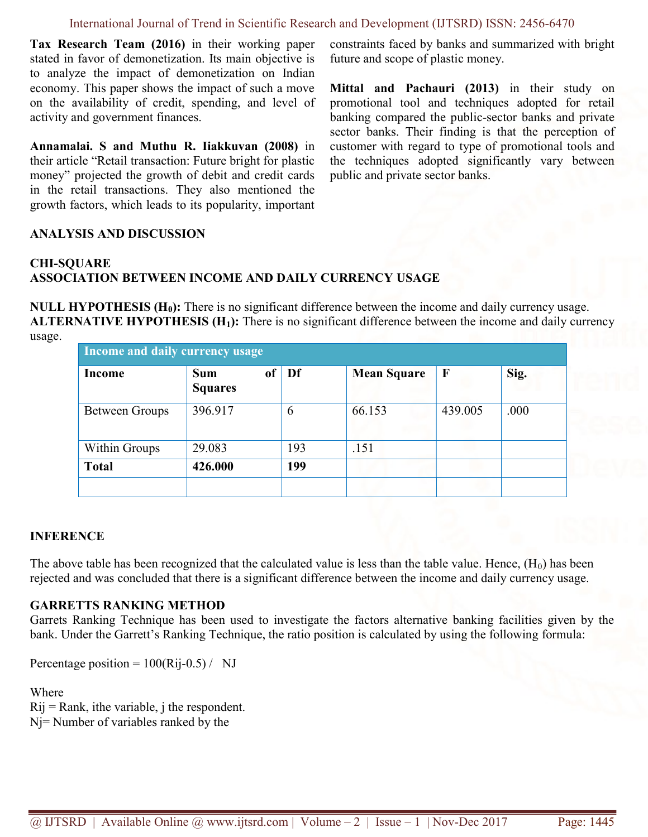Tax Research Team (2016) in their working paper stated in favor of demonetization. Its main objective is to analyze the impact of demonetization on Indian economy. This paper shows the impact of such a move on the availability of credit, spending, and level of activity and government finances.

Annamalai. S and Muthu R. Iiakkuvan (2008) in their article "Retail transaction: Future bright for plastic money" projected the growth of debit and credit cards in the retail transactions. They also mentioned the growth factors, which leads to its popularity, important constraints faced by banks and summarized with bright future and scope of plastic money.

Mittal and Pachauri (2013) in their study on promotional tool and techniques adopted for retail banking compared the public-sector banks and private sector banks. Their finding is that the perception of customer with regard to type of promotional tools and the techniques adopted significantly vary between public and private sector banks.

### ANALYSIS AND DISCUSSION

### CHI-SQUARE

# ASSOCIATION BETWEEN INCOME AND DAILY CURRENCY USAGE

NULL HYPOTHESIS  $(H_0)$ : There is no significant difference between the income and daily currency usage. **ALTERNATIVE HYPOTHESIS (H<sub>1</sub>):** There is no significant difference between the income and daily currency usage.

| Income and daily currency usage |                              |          |                    |              |      |  |  |  |  |
|---------------------------------|------------------------------|----------|--------------------|--------------|------|--|--|--|--|
| <b>Income</b>                   | <b>Sum</b><br><b>Squares</b> | of<br>Df | <b>Mean Square</b> | $\mathbf{F}$ | Sig. |  |  |  |  |
| <b>Between Groups</b>           | 396.917                      | 6        | 66.153             | 439.005      | .000 |  |  |  |  |
| <b>Within Groups</b>            | 29.083                       | 193      | .151               |              |      |  |  |  |  |
| <b>Total</b>                    | 426.000                      | 199      |                    |              |      |  |  |  |  |
|                                 |                              |          |                    |              |      |  |  |  |  |

### INFERENCE

The above table has been recognized that the calculated value is less than the table value. Hence,  $(H_0)$  has been rejected and was concluded that there is a significant difference between the income and daily currency usage.

### GARRETTS RANKING METHOD

Garrets Ranking Technique has been used to investigate the factors alternative banking facilities given by the bank. Under the Garrett's Ranking Technique, the ratio position is calculated by using the following formula:

Percentage position =  $100(Ri-0.5)$  / NJ

Where  $Rij = Rank$ , ithe variable, j the respondent. Nj= Number of variables ranked by the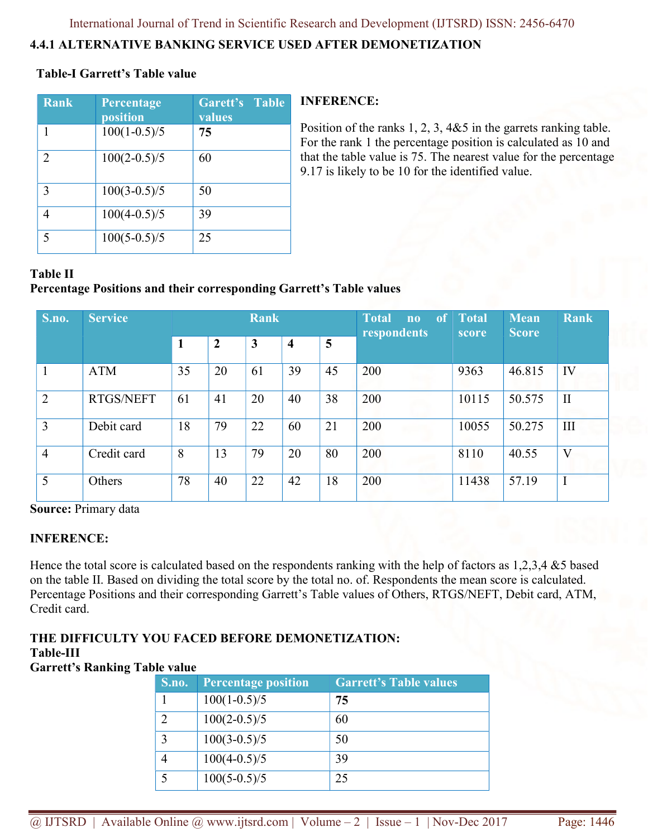# 4.4.1 ALTERNATIVE BANKING SERVICE USED AFTER DEMONETIZATION

# Table-I Garrett's Table value

| <b>Rank</b> | Percentage<br>position | Garett's Table<br>values |
|-------------|------------------------|--------------------------|
|             | $100(1-0.5)/5$         | 75                       |
| 2           | $100(2-0.5)/5$         | 60                       |
| 3           | $100(3-0.5)/5$         | 50                       |
|             | $100(4-0.5)/5$         | 39                       |
|             | $100(5-0.5)/5$         | 25                       |

### INFERENCE:

Position of the ranks 1, 2, 3, 4&5 in the garrets ranking table. For the rank 1 the percentage position is calculated as 10 and that the table value is 75. The nearest value for the percentage 9.17 is likely to be 10 for the identified value.

# Table II

# Percentage Positions and their corresponding Garrett's Table values

| S.no.          | <b>Service</b> | <b>Rank</b> |                  |              |                         |    | <b>Total</b><br>of<br>n <sub>0</sub><br>respondents | <b>Total</b><br>score | <b>Mean</b><br><b>Score</b> | <b>Rank</b>  |
|----------------|----------------|-------------|------------------|--------------|-------------------------|----|-----------------------------------------------------|-----------------------|-----------------------------|--------------|
|                |                | 1           | $\boldsymbol{2}$ | $\mathbf{3}$ | $\overline{\mathbf{4}}$ | 5  |                                                     |                       |                             |              |
|                | <b>ATM</b>     | 35          | 20               | 61           | 39                      | 45 | 200                                                 | 9363                  | 46.815                      | IV           |
| $\overline{2}$ | RTGS/NEFT      | 61          | 41               | 20           | 40                      | 38 | 200                                                 | 10115                 | 50.575                      | $\mathbf{I}$ |
| 3              | Debit card     | 18          | 79               | 22           | 60                      | 21 | 200                                                 | 10055                 | 50.275                      | Ш            |
| $\overline{4}$ | Credit card    | 8           | 13               | 79           | 20                      | 80 | 200                                                 | 8110                  | 40.55                       | V            |
| 5              | Others         | 78          | 40               | 22           | 42                      | 18 | 200                                                 | 11438                 | 57.19                       | I            |

Source: Primary data

### INFERENCE:

Hence the total score is calculated based on the respondents ranking with the help of factors as 1,2,3,4 &5 based on the table II. Based on dividing the total score by the total no. of. Respondents the mean score is calculated. Percentage Positions and their corresponding Garrett's Table values of Others, RTGS/NEFT, Debit card, ATM, Credit card.

#### THE DIFFICULTY YOU FACED BEFORE DEMONETIZATION: Table-III

# Garrett's Ranking Table value

| S.no. | <b>Percentage position</b> | <b>Garrett's Table values</b> |
|-------|----------------------------|-------------------------------|
|       | $100(1-0.5)/5$             | 75                            |
|       | $100(2-0.5)/5$             | 60                            |
| 3     | $100(3-0.5)/5$             | 50                            |
|       | $100(4-0.5)/5$             | 39                            |
|       | $100(5-0.5)/5$             | 25                            |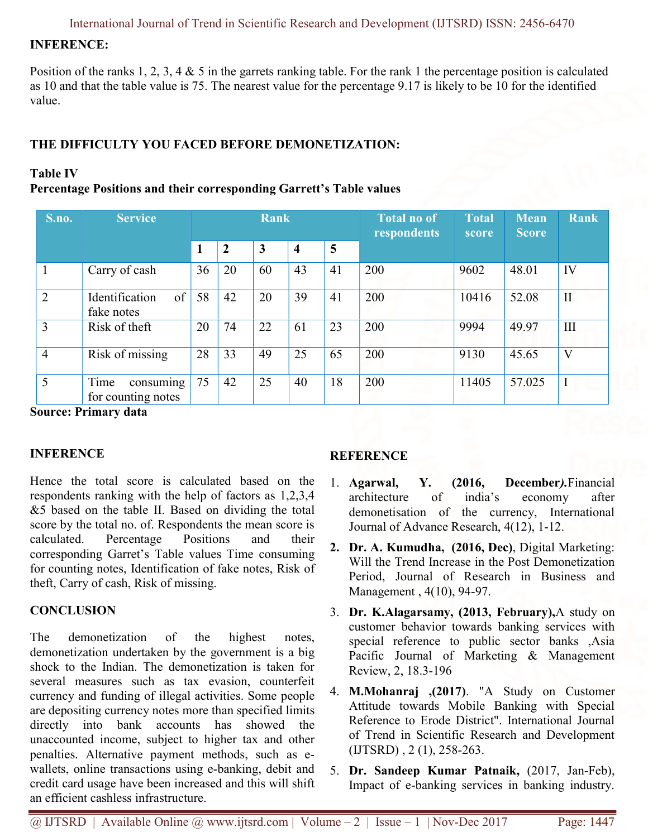### INFERENCE:

Position of the ranks 1, 2, 3, 4  $\&$  5 in the garrets ranking table. For the rank 1 the percentage position is calculated as 10 and that the table value is 75. The nearest value for the percentage 9.17 is likely to be 10 for the identified value.

### THE DIFFICULTY YOU FACED BEFORE DEMONETIZATION:

### Table IV

### Percentage Positions and their corresponding Garrett's Table values

| <b>S.no.</b>   | <b>Service</b>                          | <b>Rank</b> |    |    |    |    | <b>Total no of</b><br>respondents | <b>Total</b><br>score | <b>Mean</b><br><b>Score</b> | <b>Rank</b>             |
|----------------|-----------------------------------------|-------------|----|----|----|----|-----------------------------------|-----------------------|-----------------------------|-------------------------|
|                |                                         | 1           | 2  | 3  | 4  | 5  |                                   |                       |                             |                         |
|                | Carry of cash                           | 36          | 20 | 60 | 43 | 41 | 200                               | 9602                  | 48.01                       | IV                      |
| $\overline{2}$ | of<br>Identification<br>fake notes      | 58          | 42 | 20 | 39 | 41 | 200                               | 10416                 | 52.08                       | $\mathbf{I}$            |
| 3              | Risk of theft                           | 20          | 74 | 22 | 61 | 23 | 200                               | 9994                  | 49.97                       | III                     |
| $\overline{4}$ | Risk of missing                         | 28          | 33 | 49 | 25 | 65 | 200                               | 9130                  | 45.65                       | $\overline{\mathsf{V}}$ |
| 5              | consuming<br>Time<br>for counting notes | 75          | 42 | 25 | 40 | 18 | 200                               | 11405                 | 57.025                      |                         |

Source: Primary data

### INFERENCE

Hence the total score is calculated based on the respondents ranking with the help of factors as 1,2,3,4 &5 based on the table II. Based on dividing the total score by the total no. of. Respondents the mean score is calculated. Percentage Positions and their corresponding Garret's Table values Time consuming for counting notes, Identification of fake notes, Risk of theft, Carry of cash, Risk of missing.

### **CONCLUSION**

The demonetization of the highest notes, demonetization undertaken by the government is a big shock to the Indian. The demonetization is taken for several measures such as tax evasion, counterfeit currency and funding of illegal activities. Some people are depositing currency notes more than specified limits directly into bank accounts has showed the unaccounted income, subject to higher tax and other penalties. Alternative payment methods, such as ewallets, online transactions using e-banking, debit and credit card usage have been increased and this will shift an efficient cashless infrastructure.

### **REFERENCE**

- 1. Agarwal, Y. (2016, December).Financial architecture of india's economy after demonetisation of the currency, International Journal of Advance Research, 4(12), 1-12.
- 2. Dr. A. Kumudha, (2016, Dec), Digital Marketing: Will the Trend Increase in the Post Demonetization Period, Journal of Research in Business and Management , 4(10), 94-97.
- 3. Dr. K.Alagarsamy, (2013, February),A study on customer behavior towards banking services with special reference to public sector banks ,Asia Pacific Journal of Marketing & Management Review, 2, 18.3-196
- 4. M.Mohanraj ,(2017). "A Study on Customer Attitude towards Mobile Banking with Special Reference to Erode District". International Journal of Trend in Scientific Research and Development (IJTSRD) , 2 (1), 258-263.
- 5. Dr. Sandeep Kumar Patnaik, (2017, Jan-Feb), Impact of e-banking services in banking industry.